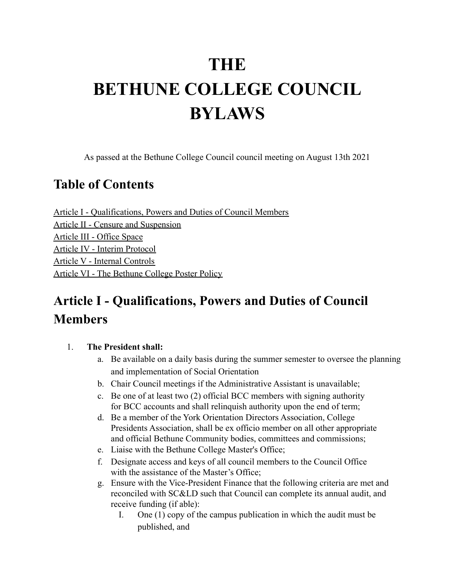# **THE BETHUNE COLLEGE COUNCIL BYLAWS**

As passed at the Bethune College Council council meeting on August 13th 2021

### **Table of Contents**

Article I - Qualifications, Powers and Duties of Council Members Article II - Censure and Suspension Article III - Office Space Article IV - Interim Protocol Article V - Internal Controls Article VI - The Bethune College Poster Policy

# **Article I - Qualifications, Powers and Duties of Council Members**

#### 1. **The President shall:**

- a. Be available on a daily basis during the summer semester to oversee the planning and implementation of Social Orientation
- b. Chair Council meetings if the Administrative Assistant is unavailable;
- c. Be one of at least two (2) official BCC members with signing authority for BCC accounts and shall relinquish authority upon the end of term;
- d. Be a member of the York Orientation Directors Association, College Presidents Association, shall be ex officio member on all other appropriate and official Bethune Community bodies, committees and commissions;
- e. Liaise with the Bethune College Master's Office;
- f. Designate access and keys of all council members to the Council Office with the assistance of the Master's Office:
- g. Ensure with the Vice-President Finance that the following criteria are met and reconciled with SC&LD such that Council can complete its annual audit, and receive funding (if able):
	- I. One (1) copy of the campus publication in which the audit must be published, and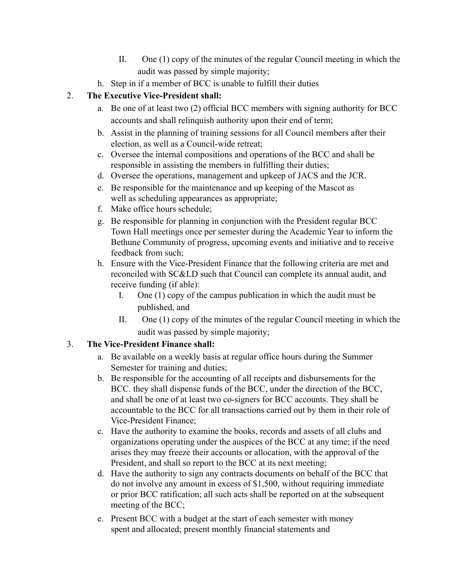- II. One (1) copy of the minutes of the regular Council meeting in which the audit was passed by simple majority;
- h. Step in if a member of BCC is unable to fulfill their duties

#### 2. **The Executive Vice-President shall:**

- a. Be one of at least two (2) official BCC members with signing authority for BCC accounts and shall relinquish authority upon their end of term;
- b. Assist in the planning of training sessions for all Council members after their election, as well as a Council-wide retreat;
- c. Oversee the internal compositions and operations of the BCC and shall be responsible in assisting the members in fulfilling their duties;
- d. Oversee the operations, management and upkeep of JACS and the JCR.
- e. Be responsible for the maintenance and up keeping of the Mascot as well as scheduling appearances as appropriate;
- f. Make office hours schedule;
- g. Be responsible for planning in conjunction with the President regular BCC Town Hall meetings once per semester during the Academic Year to inform the Bethune Community of progress, upcoming events and initiative and to receive feedback from such;
- h. Ensure with the Vice-President Finance that the following criteria are met and reconciled with SC&LD such that Council can complete its annual audit, and receive funding (if able):
	- I. One (1) copy of the campus publication in which the audit must be published, and
	- II. One (1) copy of the minutes of the regular Council meeting in which the audit was passed by simple majority;

#### 3. **The Vice-President Finance shall:**

- a. Be available on a weekly basis at regular office hours during the Summer Semester for training and duties;
- b. Be responsible for the accounting of all receipts and disbursements for the BCC. they shall dispense funds of the BCC, under the direction of the BCC, and shall be one of at least two co-signers for BCC accounts. They shall be accountable to the BCC for all transactions carried out by them in their role of Vice-President Finance;
- c. Have the authority to examine the books, records and assets of all clubs and organizations operating under the auspices of the BCC at any time; if the need arises they may freeze their accounts or allocation, with the approval of the President, and shall so report to the BCC at its next meeting;
- d. Have the authority to sign any contracts documents on behalf of the BCC that do not involve any amount in excess of \$1,500, without requiring immediate or prior BCC ratification; all such acts shall be reported on at the subsequent meeting of the BCC;
- e. Present BCC with a budget at the start of each semester with money spent and allocated; present monthly financial statements and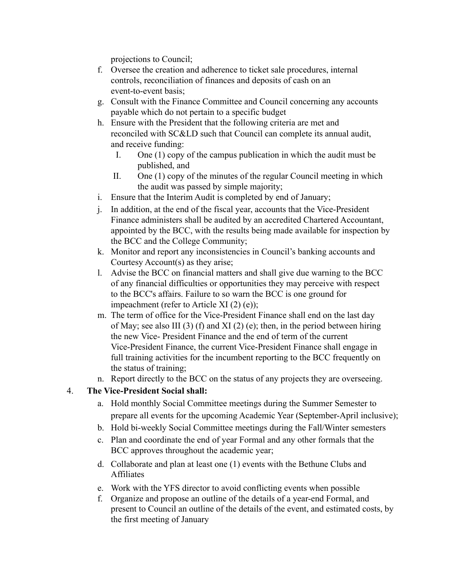projections to Council;

- f. Oversee the creation and adherence to ticket sale procedures, internal controls, reconciliation of finances and deposits of cash on an event-to-event basis;
- g. Consult with the Finance Committee and Council concerning any accounts payable which do not pertain to a specific budget
- h. Ensure with the President that the following criteria are met and reconciled with SC&LD such that Council can complete its annual audit, and receive funding:
	- I. One (1) copy of the campus publication in which the audit must be published, and
	- II. One (1) copy of the minutes of the regular Council meeting in which the audit was passed by simple majority;
- i. Ensure that the Interim Audit is completed by end of January;
- j. In addition, at the end of the fiscal year, accounts that the Vice-President Finance administers shall be audited by an accredited Chartered Accountant, appointed by the BCC, with the results being made available for inspection by the BCC and the College Community;
- k. Monitor and report any inconsistencies in Council's banking accounts and Courtesy Account(s) as they arise;
- l. Advise the BCC on financial matters and shall give due warning to the BCC of any financial difficulties or opportunities they may perceive with respect to the BCC's affairs. Failure to so warn the BCC is one ground for impeachment (refer to Article XI (2) (e));
- m. The term of office for the Vice-President Finance shall end on the last day of May; see also III (3) (f) and XI (2) (e); then, in the period between hiring the new Vice- President Finance and the end of term of the current Vice-President Finance, the current Vice-President Finance shall engage in full training activities for the incumbent reporting to the BCC frequently on the status of training;
- n. Report directly to the BCC on the status of any projects they are overseeing.

#### 4. **The Vice-President Social shall:**

- a. Hold monthly Social Committee meetings during the Summer Semester to prepare all events for the upcoming Academic Year (September-April inclusive);
- b. Hold bi-weekly Social Committee meetings during the Fall/Winter semesters
- c. Plan and coordinate the end of year Formal and any other formals that the BCC approves throughout the academic year;
- d. Collaborate and plan at least one (1) events with the Bethune Clubs and Affiliates
- e. Work with the YFS director to avoid conflicting events when possible
- f. Organize and propose an outline of the details of a year-end Formal, and present to Council an outline of the details of the event, and estimated costs, by the first meeting of January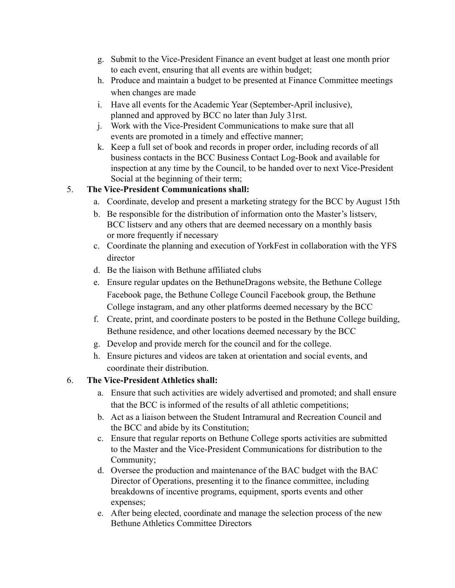- g. Submit to the Vice-President Finance an event budget at least one month prior to each event, ensuring that all events are within budget;
- h. Produce and maintain a budget to be presented at Finance Committee meetings when changes are made
- i. Have all events for the Academic Year (September-April inclusive), planned and approved by BCC no later than July 31rst.
- j. Work with the Vice-President Communications to make sure that all events are promoted in a timely and effective manner;
- k. Keep a full set of book and records in proper order, including records of all business contacts in the BCC Business Contact Log-Book and available for inspection at any time by the Council, to be handed over to next Vice-President Social at the beginning of their term;

#### 5. **The Vice-President Communications shall:**

- a. Coordinate, develop and present a marketing strategy for the BCC by August 15th
- b. Be responsible for the distribution of information onto the Master's listserv, BCC listserv and any others that are deemed necessary on a monthly basis or more frequently if necessary
- c. Coordinate the planning and execution of YorkFest in collaboration with the YFS director
- d. Be the liaison with Bethune affiliated clubs
- e. Ensure regular updates on the BethuneDragons website, the Bethune College Facebook page, the Bethune College Council Facebook group, the Bethune College instagram, and any other platforms deemed necessary by the BCC
- f. Create, print, and coordinate posters to be posted in the Bethune College building, Bethune residence, and other locations deemed necessary by the BCC
- g. Develop and provide merch for the council and for the college.
- h. Ensure pictures and videos are taken at orientation and social events, and coordinate their distribution.

#### 6. **The Vice-President Athletics shall:**

- a. Ensure that such activities are widely advertised and promoted; and shall ensure that the BCC is informed of the results of all athletic competitions;
- b. Act as a liaison between the Student Intramural and Recreation Council and the BCC and abide by its Constitution;
- c. Ensure that regular reports on Bethune College sports activities are submitted to the Master and the Vice-President Communications for distribution to the Community;
- d. Oversee the production and maintenance of the BAC budget with the BAC Director of Operations, presenting it to the finance committee, including breakdowns of incentive programs, equipment, sports events and other expenses;
- e. After being elected, coordinate and manage the selection process of the new Bethune Athletics Committee Directors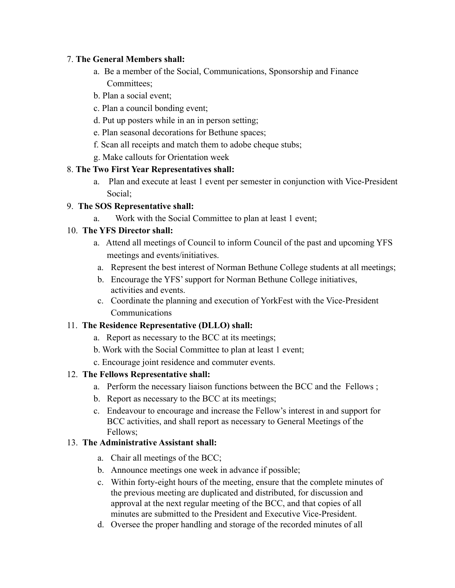#### 7. **The General Members shall:**

- a. Be a member of the Social, Communications, Sponsorship and Finance Committees;
- b. Plan a social event;
- c. Plan a council bonding event;
- d. Put up posters while in an in person setting;
- e. Plan seasonal decorations for Bethune spaces;
- f. Scan all receipts and match them to adobe cheque stubs;
- g. Make callouts for Orientation week

#### 8. **The Two First Year Representatives shall:**

a. Plan and execute at least 1 event per semester in conjunction with Vice-President Social;

#### 9. **The SOS Representative shall:**

a. Work with the Social Committee to plan at least 1 event;

#### 10. **The YFS Director shall:**

- a. Attend all meetings of Council to inform Council of the past and upcoming YFS meetings and events/initiatives.
- a. Represent the best interest of Norman Bethune College students at all meetings;
- b. Encourage the YFS' support for Norman Bethune College initiatives, activities and events.
- c. Coordinate the planning and execution of YorkFest with the Vice-President **Communications**

#### 11. **The Residence Representative (DLLO) shall:**

- a. Report as necessary to the BCC at its meetings;
- b. Work with the Social Committee to plan at least 1 event;
- c. Encourage joint residence and commuter events.

#### 12. **The Fellows Representative shall:**

- a. Perform the necessary liaison functions between the BCC and the Fellows ;
- b. Report as necessary to the BCC at its meetings;
- c. Endeavour to encourage and increase the Fellow's interest in and support for BCC activities, and shall report as necessary to General Meetings of the Fellows;

#### 13. **The Administrative Assistant shall:**

- a. Chair all meetings of the BCC;
- b. Announce meetings one week in advance if possible;
- c. Within forty-eight hours of the meeting, ensure that the complete minutes of the previous meeting are duplicated and distributed, for discussion and approval at the next regular meeting of the BCC, and that copies of all minutes are submitted to the President and Executive Vice-President.
- d. Oversee the proper handling and storage of the recorded minutes of all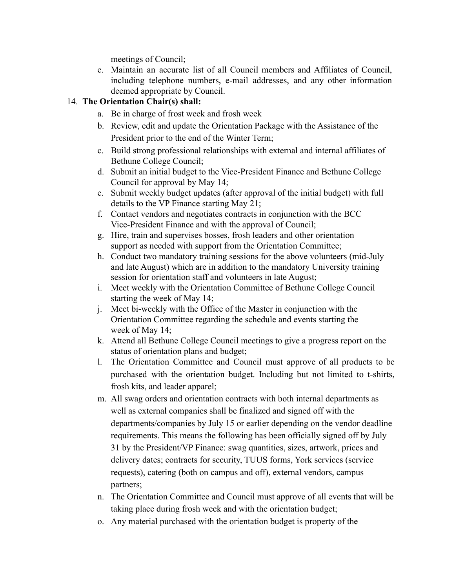meetings of Council;

e. Maintain an accurate list of all Council members and Affiliates of Council, including telephone numbers, e-mail addresses, and any other information deemed appropriate by Council.

#### 14. **The Orientation Chair(s) shall:**

- a. Be in charge of frost week and frosh week
- b. Review, edit and update the Orientation Package with the Assistance of the President prior to the end of the Winter Term;
- c. Build strong professional relationships with external and internal affiliates of Bethune College Council;
- d. Submit an initial budget to the Vice-President Finance and Bethune College Council for approval by May 14;
- e. Submit weekly budget updates (after approval of the initial budget) with full details to the VP Finance starting May 21;
- f. Contact vendors and negotiates contracts in conjunction with the BCC Vice-President Finance and with the approval of Council;
- g. Hire, train and supervises bosses, frosh leaders and other orientation support as needed with support from the Orientation Committee;
- h. Conduct two mandatory training sessions for the above volunteers (mid-July and late August) which are in addition to the mandatory University training session for orientation staff and volunteers in late August;
- i. Meet weekly with the Orientation Committee of Bethune College Council starting the week of May 14;
- j. Meet bi-weekly with the Office of the Master in conjunction with the Orientation Committee regarding the schedule and events starting the week of May 14;
- k. Attend all Bethune College Council meetings to give a progress report on the status of orientation plans and budget;
- l. The Orientation Committee and Council must approve of all products to be purchased with the orientation budget. Including but not limited to t-shirts, frosh kits, and leader apparel;
- m. All swag orders and orientation contracts with both internal departments as well as external companies shall be finalized and signed off with the departments/companies by July 15 or earlier depending on the vendor deadline requirements. This means the following has been officially signed off by July 31 by the President/VP Finance: swag quantities, sizes, artwork, prices and delivery dates; contracts for security, TUUS forms, York services (service requests), catering (both on campus and off), external vendors, campus partners;
- n. The Orientation Committee and Council must approve of all events that will be taking place during frosh week and with the orientation budget;
- o. Any material purchased with the orientation budget is property of the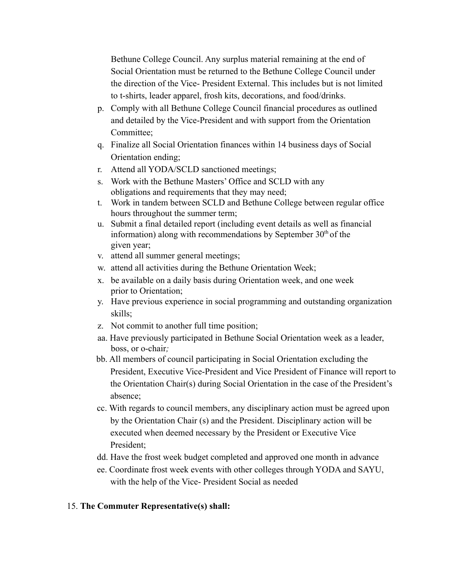Bethune College Council. Any surplus material remaining at the end of Social Orientation must be returned to the Bethune College Council under the direction of the Vice- President External. This includes but is not limited to t-shirts, leader apparel, frosh kits, decorations, and food/drinks.

- p. Comply with all Bethune College Council financial procedures as outlined and detailed by the Vice-President and with support from the Orientation Committee;
- q. Finalize all Social Orientation finances within 14 business days of Social Orientation ending;
- r. Attend all YODA/SCLD sanctioned meetings;
- s. Work with the Bethune Masters' Office and SCLD with any obligations and requirements that they may need;
- t. Work in tandem between SCLD and Bethune College between regular office hours throughout the summer term;
- u. Submit a final detailed report (including event details as well as financial information) along with recommendations by September  $30<sup>th</sup>$  of the given year;
- v. attend all summer general meetings;
- w. attend all activities during the Bethune Orientation Week;
- x. be available on a daily basis during Orientation week, and one week prior to Orientation;
- y. Have previous experience in social programming and outstanding organization skills;
- z. Not commit to another full time position;
- aa. Have previously participated in Bethune Social Orientation week as a leader, boss, or o-chair*;*
- bb. All members of council participating in Social Orientation excluding the President, Executive Vice-President and Vice President of Finance will report to the Orientation Chair(s) during Social Orientation in the case of the President's absence;
- cc. With regards to council members, any disciplinary action must be agreed upon by the Orientation Chair (s) and the President. Disciplinary action will be executed when deemed necessary by the President or Executive Vice President;
- dd. Have the frost week budget completed and approved one month in advance
- ee. Coordinate frost week events with other colleges through YODA and SAYU, with the help of the Vice- President Social as needed

#### 15. **The Commuter Representative(s) shall:**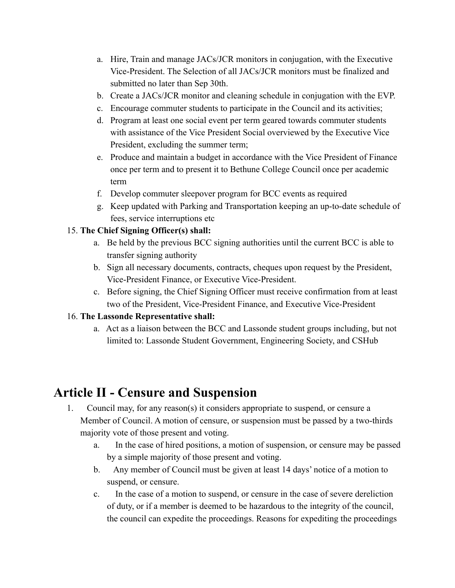- a. Hire, Train and manage JACs/JCR monitors in conjugation, with the Executive Vice-President. The Selection of all JACs/JCR monitors must be finalized and submitted no later than Sep 30th.
- b. Create a JACs/JCR monitor and cleaning schedule in conjugation with the EVP.
- c. Encourage commuter students to participate in the Council and its activities;
- d. Program at least one social event per term geared towards commuter students with assistance of the Vice President Social overviewed by the Executive Vice President, excluding the summer term;
- e. Produce and maintain a budget in accordance with the Vice President of Finance once per term and to present it to Bethune College Council once per academic term
- f. Develop commuter sleepover program for BCC events as required
- g. Keep updated with Parking and Transportation keeping an up-to-date schedule of fees, service interruptions etc

#### 15. **The Chief Signing Officer(s) shall:**

- a. Be held by the previous BCC signing authorities until the current BCC is able to transfer signing authority
- b. Sign all necessary documents, contracts, cheques upon request by the President, Vice-President Finance, or Executive Vice-President.
- c. Before signing, the Chief Signing Officer must receive confirmation from at least two of the President, Vice-President Finance, and Executive Vice-President

#### 16. **The Lassonde Representative shall:**

a. Act as a liaison between the BCC and Lassonde student groups including, but not limited to: Lassonde Student Government, Engineering Society, and CSHub

## **Article II - Censure and Suspension**

- 1. Council may, for any reason(s) it considers appropriate to suspend, or censure a Member of Council. A motion of censure, or suspension must be passed by a two-thirds majority vote of those present and voting.
	- a. In the case of hired positions, a motion of suspension, or censure may be passed by a simple majority of those present and voting.
	- b. Any member of Council must be given at least 14 days' notice of a motion to suspend, or censure.
	- c. In the case of a motion to suspend, or censure in the case of severe dereliction of duty, or if a member is deemed to be hazardous to the integrity of the council, the council can expedite the proceedings. Reasons for expediting the proceedings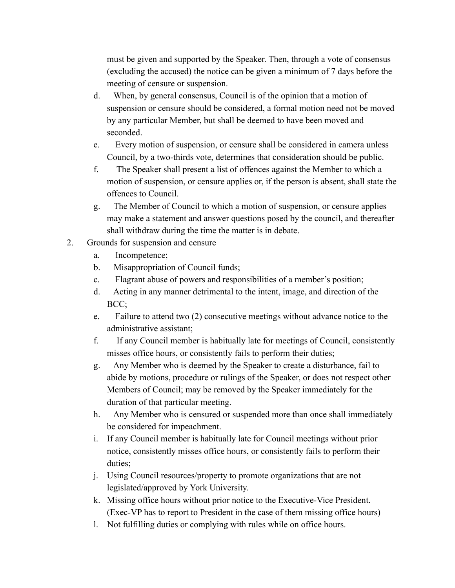must be given and supported by the Speaker. Then, through a vote of consensus (excluding the accused) the notice can be given a minimum of 7 days before the meeting of censure or suspension.

- d. When, by general consensus, Council is of the opinion that a motion of suspension or censure should be considered, a formal motion need not be moved by any particular Member, but shall be deemed to have been moved and seconded.
- e. Every motion of suspension, or censure shall be considered in camera unless Council, by a two-thirds vote, determines that consideration should be public.
- f. The Speaker shall present a list of offences against the Member to which a motion of suspension, or censure applies or, if the person is absent, shall state the offences to Council.
- g. The Member of Council to which a motion of suspension, or censure applies may make a statement and answer questions posed by the council, and thereafter shall withdraw during the time the matter is in debate.
- 2. Grounds for suspension and censure
	- a. Incompetence;
	- b. Misappropriation of Council funds;
	- c. Flagrant abuse of powers and responsibilities of a member's position;
	- d. Acting in any manner detrimental to the intent, image, and direction of the BCC;
	- e. Failure to attend two (2) consecutive meetings without advance notice to the administrative assistant;
	- f. If any Council member is habitually late for meetings of Council, consistently misses office hours, or consistently fails to perform their duties;
	- g. Any Member who is deemed by the Speaker to create a disturbance, fail to abide by motions, procedure or rulings of the Speaker, or does not respect other Members of Council; may be removed by the Speaker immediately for the duration of that particular meeting.
	- h. Any Member who is censured or suspended more than once shall immediately be considered for impeachment.
	- i. If any Council member is habitually late for Council meetings without prior notice, consistently misses office hours, or consistently fails to perform their duties;
	- j. Using Council resources/property to promote organizations that are not legislated/approved by York University.
	- k. Missing office hours without prior notice to the Executive-Vice President. (Exec-VP has to report to President in the case of them missing office hours)
	- l. Not fulfilling duties or complying with rules while on office hours.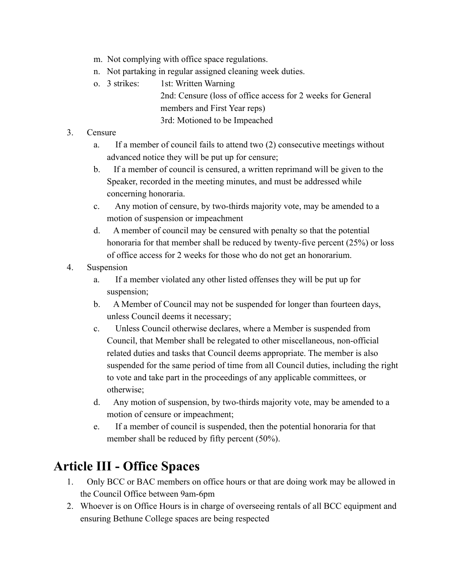- m. Not complying with office space regulations.
- n. Not partaking in regular assigned cleaning week duties.
- o. 3 strikes: 1st: Written Warning

2nd: Censure (loss of office access for 2 weeks for General members and First Year reps) 3rd: Motioned to be Impeached

#### 3. Censure

- a. If a member of council fails to attend two (2) consecutive meetings without advanced notice they will be put up for censure;
- b. If a member of council is censured, a written reprimand will be given to the Speaker, recorded in the meeting minutes, and must be addressed while concerning honoraria.
- c. Any motion of censure, by two-thirds majority vote, may be amended to a motion of suspension or impeachment
- d. A member of council may be censured with penalty so that the potential honoraria for that member shall be reduced by twenty-five percent (25%) or loss of office access for 2 weeks for those who do not get an honorarium.
- 4. Suspension
	- a. If a member violated any other listed offenses they will be put up for suspension:
	- b. A Member of Council may not be suspended for longer than fourteen days, unless Council deems it necessary;
	- c. Unless Council otherwise declares, where a Member is suspended from Council, that Member shall be relegated to other miscellaneous, non-official related duties and tasks that Council deems appropriate. The member is also suspended for the same period of time from all Council duties, including the right to vote and take part in the proceedings of any applicable committees, or otherwise;
	- d. Any motion of suspension, by two-thirds majority vote, may be amended to a motion of censure or impeachment;
	- e. If a member of council is suspended, then the potential honoraria for that member shall be reduced by fifty percent (50%).

## **Article III - Office Spaces**

- 1. Only BCC or BAC members on office hours or that are doing work may be allowed in the Council Office between 9am-6pm
- 2. Whoever is on Office Hours is in charge of overseeing rentals of all BCC equipment and ensuring Bethune College spaces are being respected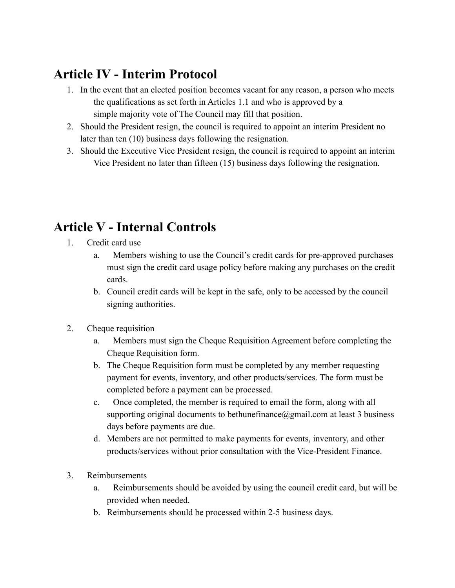# **Article IV - Interim Protocol**

- 1. In the event that an elected position becomes vacant for any reason, a person who meets the qualifications as set forth in Articles 1.1 and who is approved by a simple majority vote of The Council may fill that position.
- 2. Should the President resign, the council is required to appoint an interim President no later than ten (10) business days following the resignation.
- 3. Should the Executive Vice President resign, the council is required to appoint an interim Vice President no later than fifteen (15) business days following the resignation.

# **Article V - Internal Controls**

- 1. Credit card use
	- a. Members wishing to use the Council's credit cards for pre-approved purchases must sign the credit card usage policy before making any purchases on the credit cards.
	- b. Council credit cards will be kept in the safe, only to be accessed by the council signing authorities.
- 2. Cheque requisition
	- a. Members must sign the Cheque Requisition Agreement before completing the Cheque Requisition form.
	- b. The Cheque Requisition form must be completed by any member requesting payment for events, inventory, and other products/services. The form must be completed before a payment can be processed.
	- c. Once completed, the member is required to email the form, along with all supporting original documents to bethunefinance $(a)$ gmail.com at least 3 business days before payments are due.
	- d. Members are not permitted to make payments for events, inventory, and other products/services without prior consultation with the Vice-President Finance.
- 3. Reimbursements
	- a. Reimbursements should be avoided by using the council credit card, but will be provided when needed.
	- b. Reimbursements should be processed within 2-5 business days.